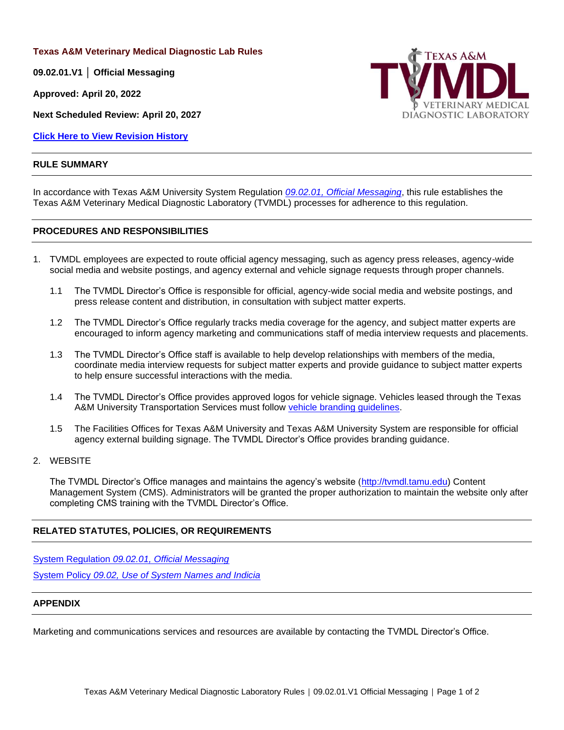**Texas A&M Veterinary Medical Diagnostic Lab Rules**

**09.02.01.V1 │ Official Messaging**

**Approved: April 20, 2022**

**Next Scheduled Review: April 20, 2027**

**[Click Here to View Revision History](#page-1-0)**

#### **RULE SUMMARY**



In accordance with Texas A&M University System Regulation *09.02.01, [Official Messaging](http://policies.tamus.edu/09-02-01.pdf)*, this rule establishes the Texas A&M Veterinary Medical Diagnostic Laboratory (TVMDL) processes for adherence to this regulation.

## **PROCEDURES AND RESPONSIBILITIES**

- 1. TVMDL employees are expected to route official agency messaging, such as agency press releases, agency-wide social media and website postings, and agency external and vehicle signage requests through proper channels.
	- 1.1 The TVMDL Director's Office is responsible for official, agency-wide social media and website postings, and press release content and distribution, in consultation with subject matter experts.
	- 1.2 The TVMDL Director's Office regularly tracks media coverage for the agency, and subject matter experts are encouraged to inform agency marketing and communications staff of media interview requests and placements.
	- 1.3 The TVMDL Director's Office staff is available to help develop relationships with members of the media, coordinate media interview requests for subject matter experts and provide guidance to subject matter experts to help ensure successful interactions with the media.
	- 1.4 The TVMDL Director's Office provides approved logos for vehicle signage. Vehicles leased through the Texas A&M University Transportation Services must follow [vehicle branding guidelines.](https://transport.tamu.edu/Fleet/branding.aspx)
	- 1.5 The Facilities Offices for Texas A&M University and Texas A&M University System are responsible for official agency external building signage. The TVMDL Director's Office provides branding guidance.

#### 2. WEBSITE

The TVMDL Director's Office manages and maintains the agency's website [\(http://tvmdl.tamu.edu\)](http://tvmdl.tamu.edu/) Content Management System (CMS). Administrators will be granted the proper authorization to maintain the website only after completing CMS training with the TVMDL Director's Office.

# **RELATED STATUTES, POLICIES, OR REQUIREMENTS**

System Regulation *[09.02.01, Official Messaging](http://policies.tamus.edu/09-02-01.pdf)* System Policy *09.02, [Use of System Names and Indicia](http://policies.tamus.edu/09-02.pdf)*

## **APPENDIX**

Marketing and communications services and resources are available by contacting the TVMDL Director's Office.